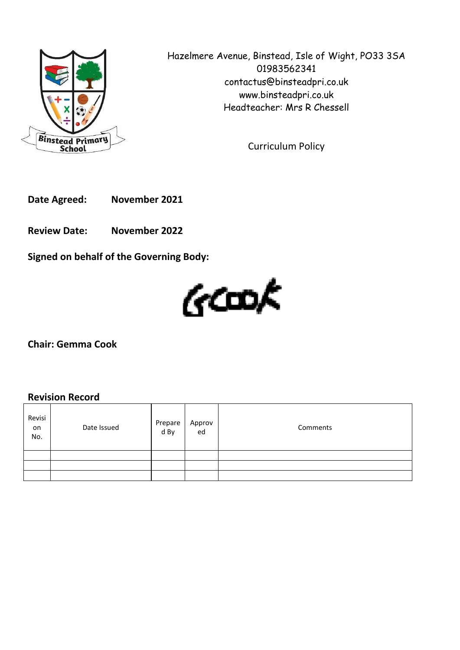

Hazelmere Avenue, Binstead, Isle of Wight, PO33 3SA 01983562341 contactus@binsteadpri.co.uk www.binsteadpri.co.uk Headteacher: Mrs R Chessell

Curriculum Policy

**Date Agreed: November 2021**

**Review Date: November 2022**

**Signed on behalf of the Governing Body:**



**Chair: Gemma Cook**

## **Revision Record**

| Revisi<br>on<br>No. | Date Issued | Prepare<br>d By | Approv<br>ed | Comments |
|---------------------|-------------|-----------------|--------------|----------|
|                     |             |                 |              |          |
|                     |             |                 |              |          |
|                     |             |                 |              |          |